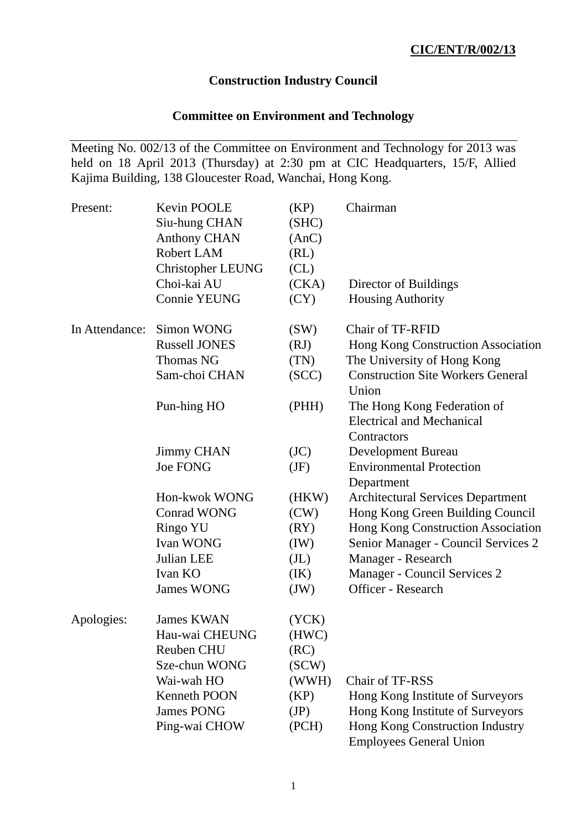# **Construction Industry Council**

# **Committee on Environment and Technology**

Meeting No. 002/13 of the Committee on Environment and Technology for 2013 was held on 18 April 2013 (Thursday) at 2:30 pm at CIC Headquarters, 15/F, Allied Kajima Building, 138 Gloucester Road, Wanchai, Hong Kong.

| Present:       | Kevin POOLE<br>Siu-hung CHAN<br><b>Anthony CHAN</b><br><b>Robert LAM</b><br>Christopher LEUNG | (KP)<br>(SHC)<br>(AnC)<br>(RL)<br>CL) | Chairman                                                                       |
|----------------|-----------------------------------------------------------------------------------------------|---------------------------------------|--------------------------------------------------------------------------------|
|                | Choi-kai AU                                                                                   | (CKA)                                 | Director of Buildings                                                          |
|                | <b>Connie YEUNG</b>                                                                           | (CY)                                  | <b>Housing Authority</b>                                                       |
| In Attendance: | Simon WONG                                                                                    | (SW)                                  | <b>Chair of TF-RFID</b>                                                        |
|                | <b>Russell JONES</b>                                                                          | (RJ)                                  | Hong Kong Construction Association                                             |
|                | <b>Thomas NG</b>                                                                              | (TN)                                  | The University of Hong Kong                                                    |
|                | Sam-choi CHAN                                                                                 | (SCC)                                 | <b>Construction Site Workers General</b><br>Union                              |
|                | Pun-hing HO                                                                                   | (PHH)                                 | The Hong Kong Federation of<br><b>Electrical and Mechanical</b><br>Contractors |
|                | <b>Jimmy CHAN</b>                                                                             | (JC)                                  | Development Bureau                                                             |
|                | <b>Joe FONG</b>                                                                               | (JF)                                  | <b>Environmental Protection</b><br>Department                                  |
|                | Hon-kwok WONG                                                                                 | (HKW)                                 | <b>Architectural Services Department</b>                                       |
|                | <b>Conrad WONG</b>                                                                            | (CW)                                  | Hong Kong Green Building Council                                               |
|                | <b>Ringo YU</b>                                                                               | (RY)                                  | Hong Kong Construction Association                                             |
|                | Ivan WONG                                                                                     | (IW)                                  | Senior Manager - Council Services 2                                            |
|                | Julian LEE                                                                                    | (J <sub>L</sub> )                     | Manager - Research                                                             |
|                | Ivan KO                                                                                       | (IK)                                  | Manager - Council Services 2                                                   |
|                | <b>James WONG</b>                                                                             | (JW)                                  | Officer - Research                                                             |
| Apologies:     | <b>James KWAN</b>                                                                             | (YCK)                                 |                                                                                |
|                | Hau-wai CHEUNG                                                                                | (HWC)                                 |                                                                                |
|                | <b>Reuben CHU</b>                                                                             | (RC)                                  |                                                                                |
|                | Sze-chun WONG                                                                                 | SCW)                                  |                                                                                |
|                | Wai-wah HO                                                                                    | (WWH)                                 | Chair of TF-RSS                                                                |
|                | <b>Kenneth POON</b>                                                                           | (KP)                                  | Hong Kong Institute of Surveyors                                               |
|                | <b>James PONG</b>                                                                             | (JP)                                  | Hong Kong Institute of Surveyors                                               |
|                | Ping-wai CHOW                                                                                 | (PCH)                                 | Hong Kong Construction Industry<br><b>Employees General Union</b>              |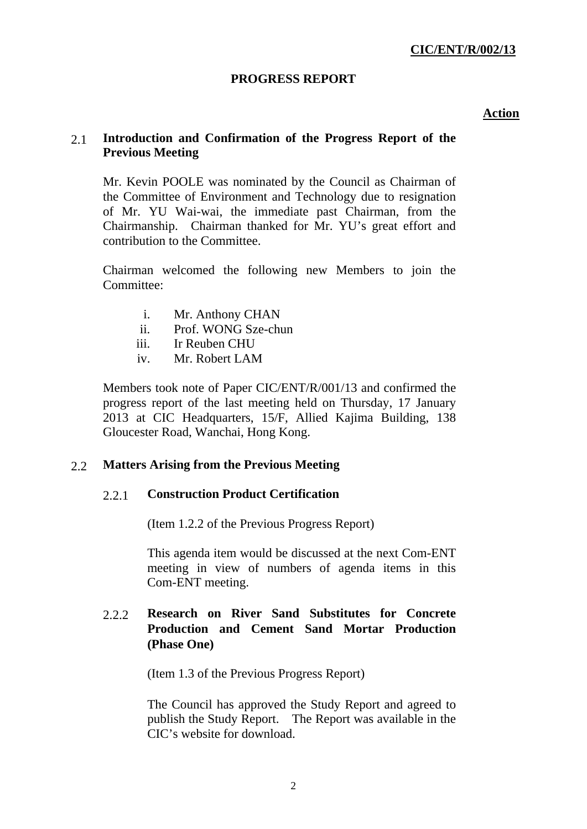### **PROGRESS REPORT**

#### **Action**

## 2.1 **Introduction and Confirmation of the Progress Report of the Previous Meeting**

Mr. Kevin POOLE was nominated by the Council as Chairman of the Committee of Environment and Technology due to resignation of Mr. YU Wai-wai, the immediate past Chairman, from the Chairmanship. Chairman thanked for Mr. YU's great effort and contribution to the Committee.

Chairman welcomed the following new Members to join the Committee:

- i. Mr. Anthony CHAN
- ii. Prof. WONG Sze-chun
- iii. Ir Reuben CHU
- iv. Mr. Robert LAM

Members took note of Paper CIC/ENT/R/001/13 and confirmed the progress report of the last meeting held on Thursday, 17 January 2013 at CIC Headquarters, 15/F, Allied Kajima Building, 138 Gloucester Road, Wanchai, Hong Kong.

#### 2.2 **Matters Arising from the Previous Meeting**

### 2.2.1 **Construction Product Certification**

(Item 1.2.2 of the Previous Progress Report)

This agenda item would be discussed at the next Com-ENT meeting in view of numbers of agenda items in this Com-ENT meeting.

# 2.2.2 **Research on River Sand Substitutes for Concrete Production and Cement Sand Mortar Production (Phase One)**

(Item 1.3 of the Previous Progress Report)

The Council has approved the Study Report and agreed to publish the Study Report. The Report was available in the CIC's website for download.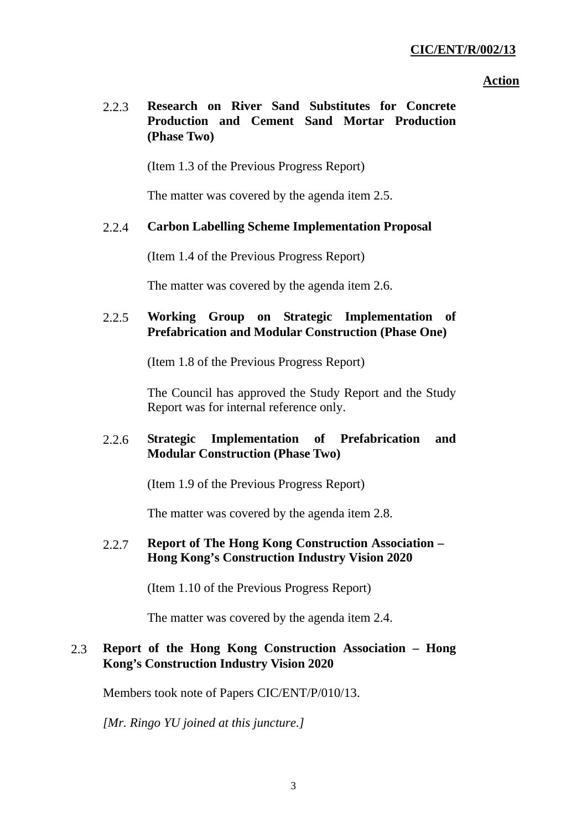# 2.2.3 **Research on River Sand Substitutes for Concrete Production and Cement Sand Mortar Production (Phase Two)**

(Item 1.3 of the Previous Progress Report)

The matter was covered by the agenda item 2.5.

#### 2.2.4 **Carbon Labelling Scheme Implementation Proposal**

(Item 1.4 of the Previous Progress Report)

The matter was covered by the agenda item 2.6.

### 2.2.5 **Working Group on Strategic Implementation of Prefabrication and Modular Construction (Phase One)**

(Item 1.8 of the Previous Progress Report)

The Council has approved the Study Report and the Study Report was for internal reference only.

# 2.2.6 **Strategic Implementation of Prefabrication and Modular Construction (Phase Two)**

(Item 1.9 of the Previous Progress Report)

The matter was covered by the agenda item 2.8.

#### 2.2.7 **Report of The Hong Kong Construction Association – Hong Kong's Construction Industry Vision 2020**

(Item 1.10 of the Previous Progress Report)

The matter was covered by the agenda item 2.4.

## 2.3 **Report of the Hong Kong Construction Association – Hong Kong's Construction Industry Vision 2020**

Members took note of Papers CIC/ENT/P/010/13.

*[Mr. Ringo YU joined at this juncture.]*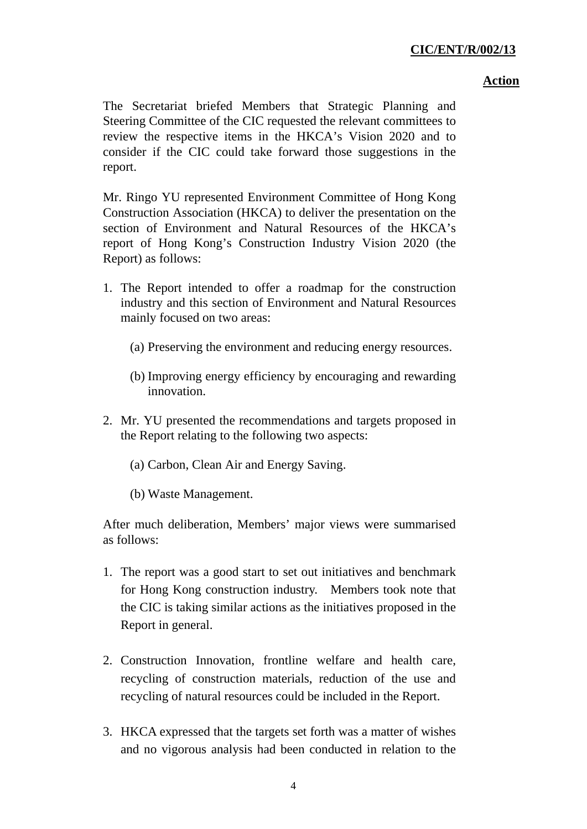#### **Action**

The Secretariat briefed Members that Strategic Planning and Steering Committee of the CIC requested the relevant committees to review the respective items in the HKCA's Vision 2020 and to consider if the CIC could take forward those suggestions in the report.

Mr. Ringo YU represented Environment Committee of Hong Kong Construction Association (HKCA) to deliver the presentation on the section of Environment and Natural Resources of the HKCA's report of Hong Kong's Construction Industry Vision 2020 (the Report) as follows:

- 1. The Report intended to offer a roadmap for the construction industry and this section of Environment and Natural Resources mainly focused on two areas:
	- (a) Preserving the environment and reducing energy resources.
	- (b) Improving energy efficiency by encouraging and rewarding innovation.
- 2. Mr. YU presented the recommendations and targets proposed in the Report relating to the following two aspects:
	- (a) Carbon, Clean Air and Energy Saving.
	- (b) Waste Management.

After much deliberation, Members' major views were summarised as follows:

- 1. The report was a good start to set out initiatives and benchmark for Hong Kong construction industry. Members took note that the CIC is taking similar actions as the initiatives proposed in the Report in general.
- 2. Construction Innovation, frontline welfare and health care, recycling of construction materials, reduction of the use and recycling of natural resources could be included in the Report.
- 3. HKCA expressed that the targets set forth was a matter of wishes and no vigorous analysis had been conducted in relation to the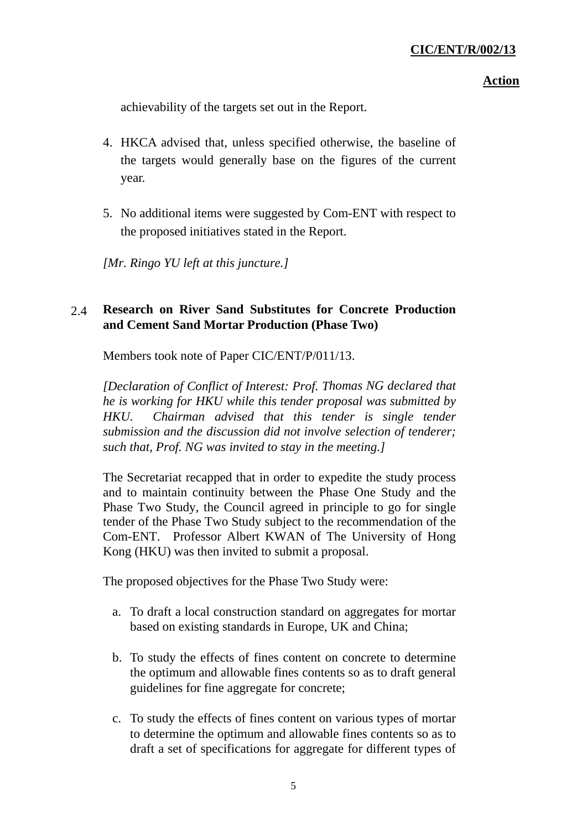achievability of the targets set out in the Report.

- 4. HKCA advised that, unless specified otherwise, the baseline of the targets would generally base on the figures of the current year.
- 5. No additional items were suggested by Com-ENT with respect to the proposed initiatives stated in the Report.

*[Mr. Ringo YU left at this juncture.]* 

# 2.4 **Research on River Sand Substitutes for Concrete Production and Cement Sand Mortar Production (Phase Two)**

Members took note of Paper CIC/ENT/P/011/13.

*[Declaration of Conflict of Interest: Prof. Thomas NG declared that he is working for HKU while this tender proposal was submitted by HKU. Chairman advised that this tender is single tender submission and the discussion did not involve selection of tenderer; such that, Prof. NG was invited to stay in the meeting.]* 

The Secretariat recapped that in order to expedite the study process and to maintain continuity between the Phase One Study and the Phase Two Study, the Council agreed in principle to go for single tender of the Phase Two Study subject to the recommendation of the Com-ENT. Professor Albert KWAN of The University of Hong Kong (HKU) was then invited to submit a proposal.

The proposed objectives for the Phase Two Study were:

- a. To draft a local construction standard on aggregates for mortar based on existing standards in Europe, UK and China;
- b. To study the effects of fines content on concrete to determine the optimum and allowable fines contents so as to draft general guidelines for fine aggregate for concrete;
- c. To study the effects of fines content on various types of mortar to determine the optimum and allowable fines contents so as to draft a set of specifications for aggregate for different types of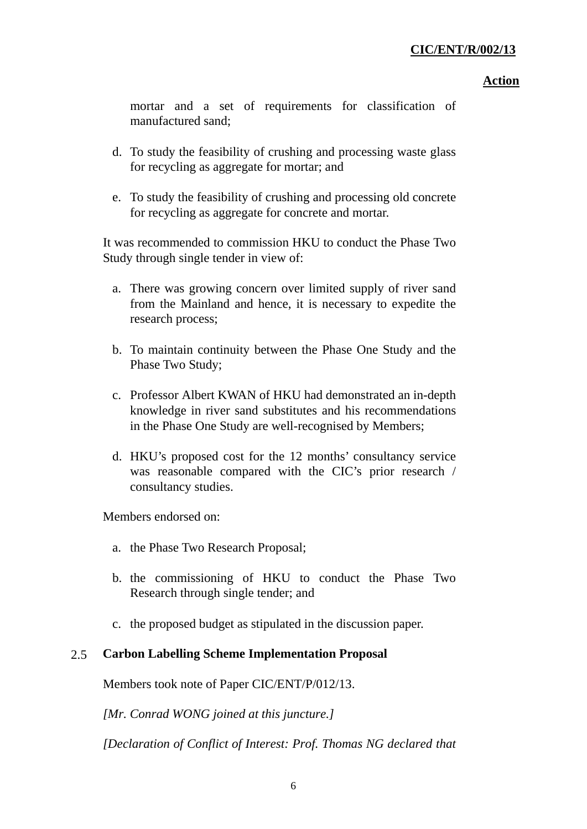#### **Action**

mortar and a set of requirements for classification of manufactured sand;

- d. To study the feasibility of crushing and processing waste glass for recycling as aggregate for mortar; and
- e. To study the feasibility of crushing and processing old concrete for recycling as aggregate for concrete and mortar.

It was recommended to commission HKU to conduct the Phase Two Study through single tender in view of:

- a. There was growing concern over limited supply of river sand from the Mainland and hence, it is necessary to expedite the research process;
- b. To maintain continuity between the Phase One Study and the Phase Two Study;
- c. Professor Albert KWAN of HKU had demonstrated an in-depth knowledge in river sand substitutes and his recommendations in the Phase One Study are well-recognised by Members;
- d. HKU's proposed cost for the 12 months' consultancy service was reasonable compared with the CIC's prior research / consultancy studies.

Members endorsed on:

- a. the Phase Two Research Proposal;
- b. the commissioning of HKU to conduct the Phase Two Research through single tender; and
- c. the proposed budget as stipulated in the discussion paper.

# 2.5 **Carbon Labelling Scheme Implementation Proposal**

Members took note of Paper CIC/ENT/P/012/13.

*[Mr. Conrad WONG joined at this juncture.]* 

*[Declaration of Conflict of Interest: Prof. Thomas NG declared that*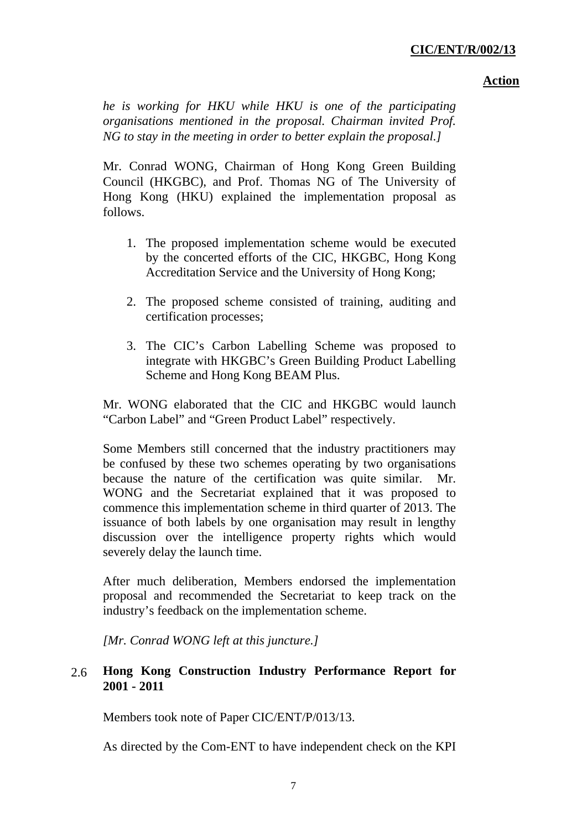#### **Action**

*he is working for HKU while HKU is one of the participating organisations mentioned in the proposal. Chairman invited Prof. NG to stay in the meeting in order to better explain the proposal.]* 

Mr. Conrad WONG, Chairman of Hong Kong Green Building Council (HKGBC), and Prof. Thomas NG of The University of Hong Kong (HKU) explained the implementation proposal as follows.

- 1. The proposed implementation scheme would be executed by the concerted efforts of the CIC, HKGBC, Hong Kong Accreditation Service and the University of Hong Kong;
- 2. The proposed scheme consisted of training, auditing and certification processes;
- 3. The CIC's Carbon Labelling Scheme was proposed to integrate with HKGBC's Green Building Product Labelling Scheme and Hong Kong BEAM Plus.

Mr. WONG elaborated that the CIC and HKGBC would launch "Carbon Label" and "Green Product Label" respectively.

Some Members still concerned that the industry practitioners may be confused by these two schemes operating by two organisations because the nature of the certification was quite similar. Mr. WONG and the Secretariat explained that it was proposed to commence this implementation scheme in third quarter of 2013. The issuance of both labels by one organisation may result in lengthy discussion over the intelligence property rights which would severely delay the launch time.

After much deliberation, Members endorsed the implementation proposal and recommended the Secretariat to keep track on the industry's feedback on the implementation scheme.

*[Mr. Conrad WONG left at this juncture.]* 

## 2.6 **Hong Kong Construction Industry Performance Report for 2001 - 2011**

Members took note of Paper CIC/ENT/P/013/13.

As directed by the Com-ENT to have independent check on the KPI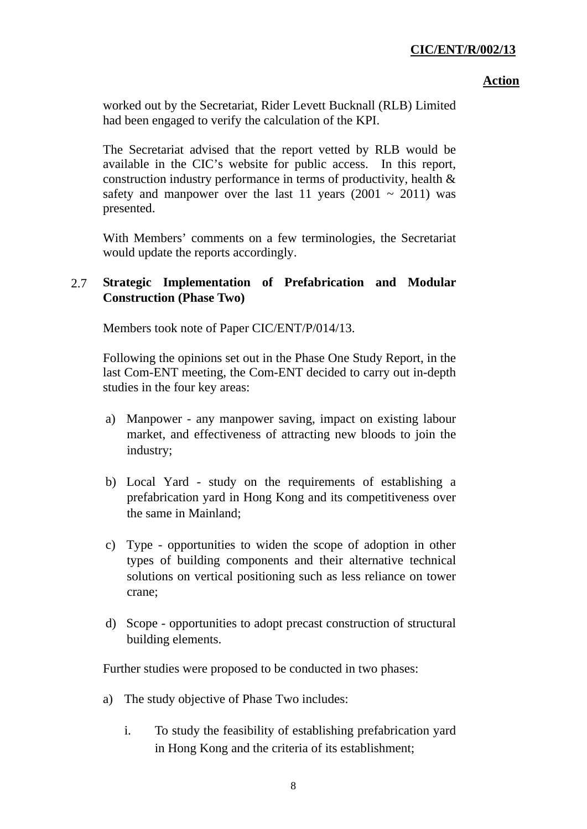worked out by the Secretariat, Rider Levett Bucknall (RLB) Limited had been engaged to verify the calculation of the KPI.

The Secretariat advised that the report vetted by RLB would be available in the CIC's website for public access. In this report, construction industry performance in terms of productivity, health & safety and manpower over the last 11 years (2001  $\sim$  2011) was presented.

With Members' comments on a few terminologies, the Secretariat would update the reports accordingly.

## 2.7 **Strategic Implementation of Prefabrication and Modular Construction (Phase Two)**

Members took note of Paper CIC/ENT/P/014/13.

Following the opinions set out in the Phase One Study Report, in the last Com-ENT meeting, the Com-ENT decided to carry out in-depth studies in the four key areas:

- a) Manpower any manpower saving, impact on existing labour market, and effectiveness of attracting new bloods to join the industry;
- b) Local Yard study on the requirements of establishing a prefabrication yard in Hong Kong and its competitiveness over the same in Mainland;
- c) Type opportunities to widen the scope of adoption in other types of building components and their alternative technical solutions on vertical positioning such as less reliance on tower crane;
- d) Scope opportunities to adopt precast construction of structural building elements.

Further studies were proposed to be conducted in two phases:

- a) The study objective of Phase Two includes:
	- i. To study the feasibility of establishing prefabrication yard in Hong Kong and the criteria of its establishment;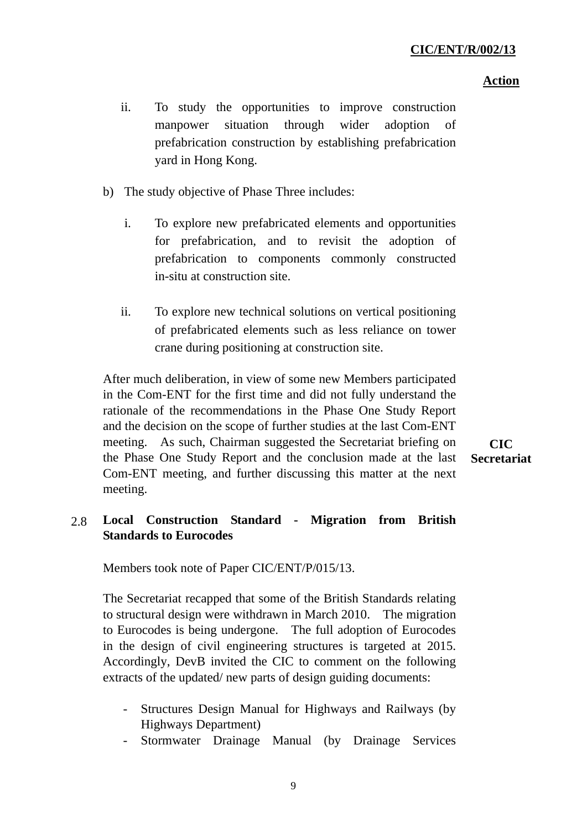#### **Action**

- ii. To study the opportunities to improve construction manpower situation through wider adoption of prefabrication construction by establishing prefabrication yard in Hong Kong.
- b) The study objective of Phase Three includes:
	- i. To explore new prefabricated elements and opportunities for prefabrication, and to revisit the adoption of prefabrication to components commonly constructed in-situ at construction site.
	- ii. To explore new technical solutions on vertical positioning of prefabricated elements such as less reliance on tower crane during positioning at construction site.

After much deliberation, in view of some new Members participated in the Com-ENT for the first time and did not fully understand the rationale of the recommendations in the Phase One Study Report and the decision on the scope of further studies at the last Com-ENT meeting. As such, Chairman suggested the Secretariat briefing on the Phase One Study Report and the conclusion made at the last Com-ENT meeting, and further discussing this matter at the next meeting.

**CIC Secretariat** 

# 2.8 **Local Construction Standard - Migration from British Standards to Eurocodes**

Members took note of Paper CIC/ENT/P/015/13.

The Secretariat recapped that some of the British Standards relating to structural design were withdrawn in March 2010. The migration to Eurocodes is being undergone. The full adoption of Eurocodes in the design of civil engineering structures is targeted at 2015. Accordingly, DevB invited the CIC to comment on the following extracts of the updated/ new parts of design guiding documents:

- Structures Design Manual for Highways and Railways (by Highways Department)
- Stormwater Drainage Manual (by Drainage Services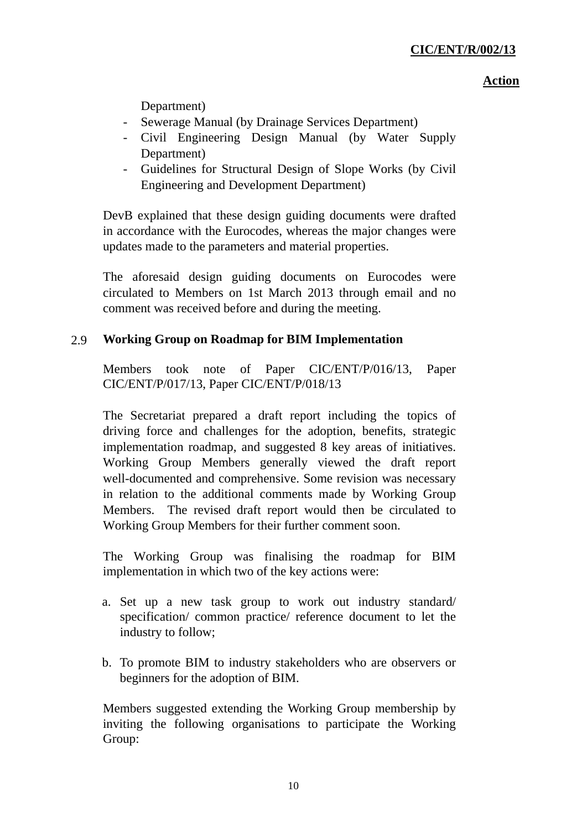Department)

- Sewerage Manual (by Drainage Services Department)
- Civil Engineering Design Manual (by Water Supply Department)
- Guidelines for Structural Design of Slope Works (by Civil Engineering and Development Department)

DevB explained that these design guiding documents were drafted in accordance with the Eurocodes, whereas the major changes were updates made to the parameters and material properties.

The aforesaid design guiding documents on Eurocodes were circulated to Members on 1st March 2013 through email and no comment was received before and during the meeting.

# 2.9 **Working Group on Roadmap for BIM Implementation**

Members took note of Paper CIC/ENT/P/016/13, Paper CIC/ENT/P/017/13, Paper CIC/ENT/P/018/13

The Secretariat prepared a draft report including the topics of driving force and challenges for the adoption, benefits, strategic implementation roadmap, and suggested 8 key areas of initiatives. Working Group Members generally viewed the draft report well-documented and comprehensive. Some revision was necessary in relation to the additional comments made by Working Group Members. The revised draft report would then be circulated to Working Group Members for their further comment soon.

The Working Group was finalising the roadmap for BIM implementation in which two of the key actions were:

- a. Set up a new task group to work out industry standard/ specification/ common practice/ reference document to let the industry to follow;
- b. To promote BIM to industry stakeholders who are observers or beginners for the adoption of BIM.

Members suggested extending the Working Group membership by inviting the following organisations to participate the Working Group: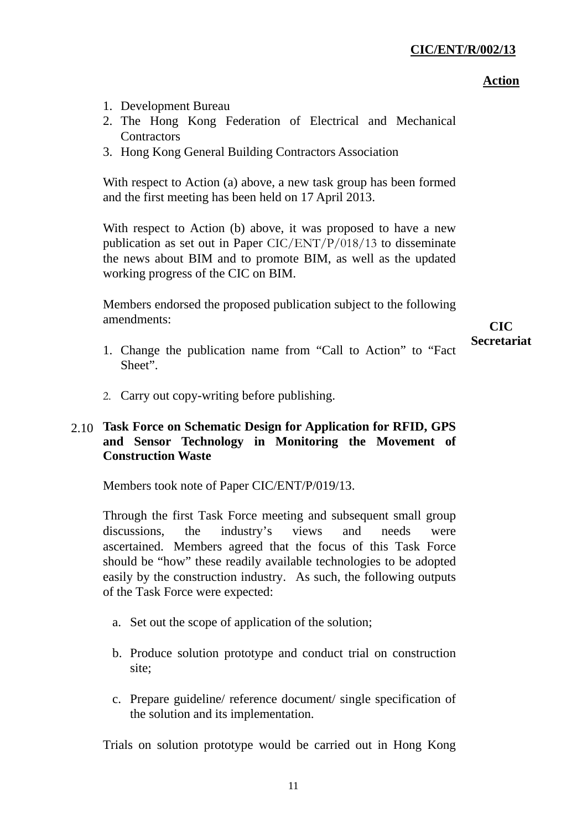- 1. Development Bureau
- 2. The Hong Kong Federation of Electrical and Mechanical **Contractors**
- 3. Hong Kong General Building Contractors Association

With respect to Action (a) above, a new task group has been formed and the first meeting has been held on 17 April 2013.

With respect to Action (b) above, it was proposed to have a new publication as set out in Paper CIC/ENT/P/018/13 to disseminate the news about BIM and to promote BIM, as well as the updated working progress of the CIC on BIM.

Members endorsed the proposed publication subject to the following amendments:

# **CIC Secretariat**

- 1. Change the publication name from "Call to Action" to "Fact Sheet".
- 2. Carry out copy-writing before publishing.

# 2.10 **Task Force on Schematic Design for Application for RFID, GPS and Sensor Technology in Monitoring the Movement of Construction Waste**

Members took note of Paper CIC/ENT/P/019/13.

Through the first Task Force meeting and subsequent small group discussions, the industry's views and needs were ascertained. Members agreed that the focus of this Task Force should be "how" these readily available technologies to be adopted easily by the construction industry. As such, the following outputs of the Task Force were expected:

- a. Set out the scope of application of the solution;
- b. Produce solution prototype and conduct trial on construction site;
- c. Prepare guideline/ reference document/ single specification of the solution and its implementation.

Trials on solution prototype would be carried out in Hong Kong